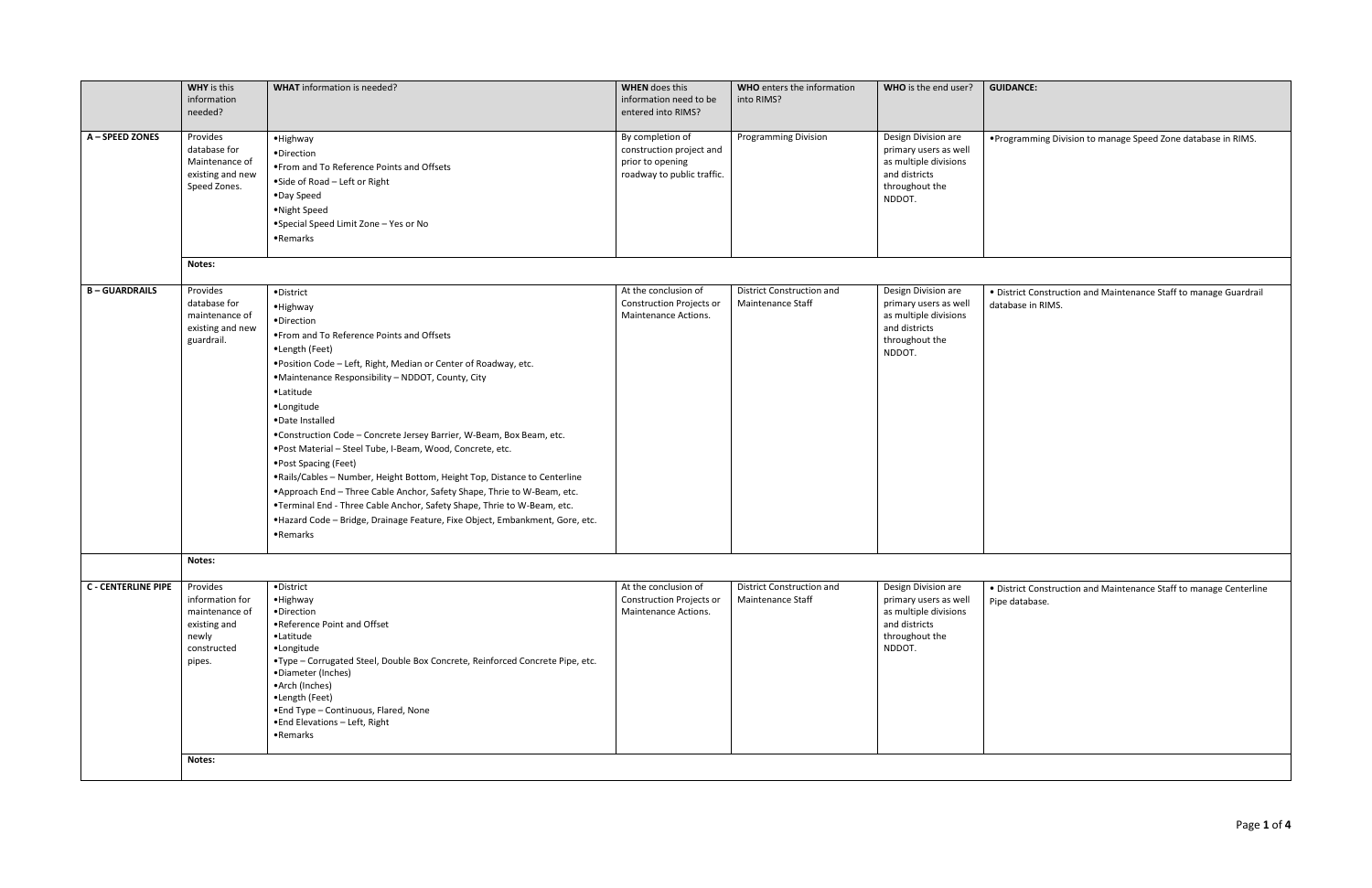|                            | <b>WHY</b> is this<br>information<br>needed?                                                    | <b>WHAT</b> information is needed?                                                                                                                                                                                                                                                                                                                                                                                                                                                                                                                                                                                                                                                                                                                                       | <b>WHEN</b> does this<br>information need to be<br>entered into RIMS?                          | <b>WHO</b> enters the information<br>into RIMS?       | WHO is the end user?                                                                                               | <b>GUI</b>           |  |  |
|----------------------------|-------------------------------------------------------------------------------------------------|--------------------------------------------------------------------------------------------------------------------------------------------------------------------------------------------------------------------------------------------------------------------------------------------------------------------------------------------------------------------------------------------------------------------------------------------------------------------------------------------------------------------------------------------------------------------------------------------------------------------------------------------------------------------------------------------------------------------------------------------------------------------------|------------------------------------------------------------------------------------------------|-------------------------------------------------------|--------------------------------------------------------------------------------------------------------------------|----------------------|--|--|
| A - SPEED ZONES            | Provides<br>database for<br>Maintenance of<br>existing and new<br>Speed Zones.                  | ·Highway<br>·Direction<br>. From and To Reference Points and Offsets<br>• Side of Road - Left or Right<br>•Day Speed<br>• Night Speed<br>• Special Speed Limit Zone - Yes or No<br>•Remarks                                                                                                                                                                                                                                                                                                                                                                                                                                                                                                                                                                              | By completion of<br>construction project and<br>prior to opening<br>roadway to public traffic. | <b>Programming Division</b>                           | Design Division are<br>primary users as well<br>as multiple divisions<br>and districts<br>throughout the<br>NDDOT. | $\bullet$ Pro        |  |  |
|                            | Notes:                                                                                          |                                                                                                                                                                                                                                                                                                                                                                                                                                                                                                                                                                                                                                                                                                                                                                          |                                                                                                |                                                       |                                                                                                                    |                      |  |  |
| <b>B-GUARDRAILS</b>        | Provides<br>database for<br>maintenance of<br>existing and new<br>guardrail.                    | • District<br>·Highway<br>·Direction<br>. From and To Reference Points and Offsets<br>•Length (Feet)<br>. Position Code - Left, Right, Median or Center of Roadway, etc.<br>·Maintenance Responsibility - NDDOT, County, City<br>•Latitude<br>•Longitude<br>•Date Installed<br>•Construction Code - Concrete Jersey Barrier, W-Beam, Box Beam, etc.<br>.Post Material - Steel Tube, I-Beam, Wood, Concrete, etc.<br>•Post Spacing (Feet)<br>.Rails/Cables - Number, Height Bottom, Height Top, Distance to Centerline<br>.Approach End - Three Cable Anchor, Safety Shape, Thrie to W-Beam, etc.<br>.Terminal End - Three Cable Anchor, Safety Shape, Thrie to W-Beam, etc.<br>• Hazard Code - Bridge, Drainage Feature, Fixe Object, Embankment, Gore, etc.<br>•Remarks | At the conclusion of<br><b>Construction Projects or</b><br>Maintenance Actions.                | <b>District Construction and</b><br>Maintenance Staff | Design Division are<br>primary users as well<br>as multiple divisions<br>and districts<br>throughout the<br>NDDOT. | $\bullet$ Di<br>data |  |  |
|                            | Notes:                                                                                          |                                                                                                                                                                                                                                                                                                                                                                                                                                                                                                                                                                                                                                                                                                                                                                          |                                                                                                |                                                       |                                                                                                                    |                      |  |  |
| <b>C - CENTERLINE PIPE</b> | Provides<br>information for<br>maintenance of<br>existing and<br>newly<br>constructed<br>pipes. | • District<br>• Highway<br>•Direction<br>•Reference Point and Offset<br>•Latitude<br>·Longitude<br>•Type - Corrugated Steel, Double Box Concrete, Reinforced Concrete Pipe, etc.<br>•Diameter (Inches)<br>•Arch (Inches)<br>•Length (Feet)<br>. End Type - Continuous, Flared, None<br>. End Elevations - Left, Right<br>•Remarks                                                                                                                                                                                                                                                                                                                                                                                                                                        | At the conclusion of<br><b>Construction Projects or</b><br>Maintenance Actions.                | <b>District Construction and</b><br>Maintenance Staff | Design Division are<br>primary users as well<br>as multiple divisions<br>and districts<br>throughout the<br>NDDOT. | $\bullet$ Di<br>Pipe |  |  |
|                            | Notes:                                                                                          |                                                                                                                                                                                                                                                                                                                                                                                                                                                                                                                                                                                                                                                                                                                                                                          |                                                                                                |                                                       |                                                                                                                    |                      |  |  |

## **IDANCE:**

ogramming Division to manage Speed Zone database in RIMS.

listrict Construction and Maintenance Staff to manage Guardrail abase in RIMS.

listrict Construction and Maintenance Staff to manage Centerline e database.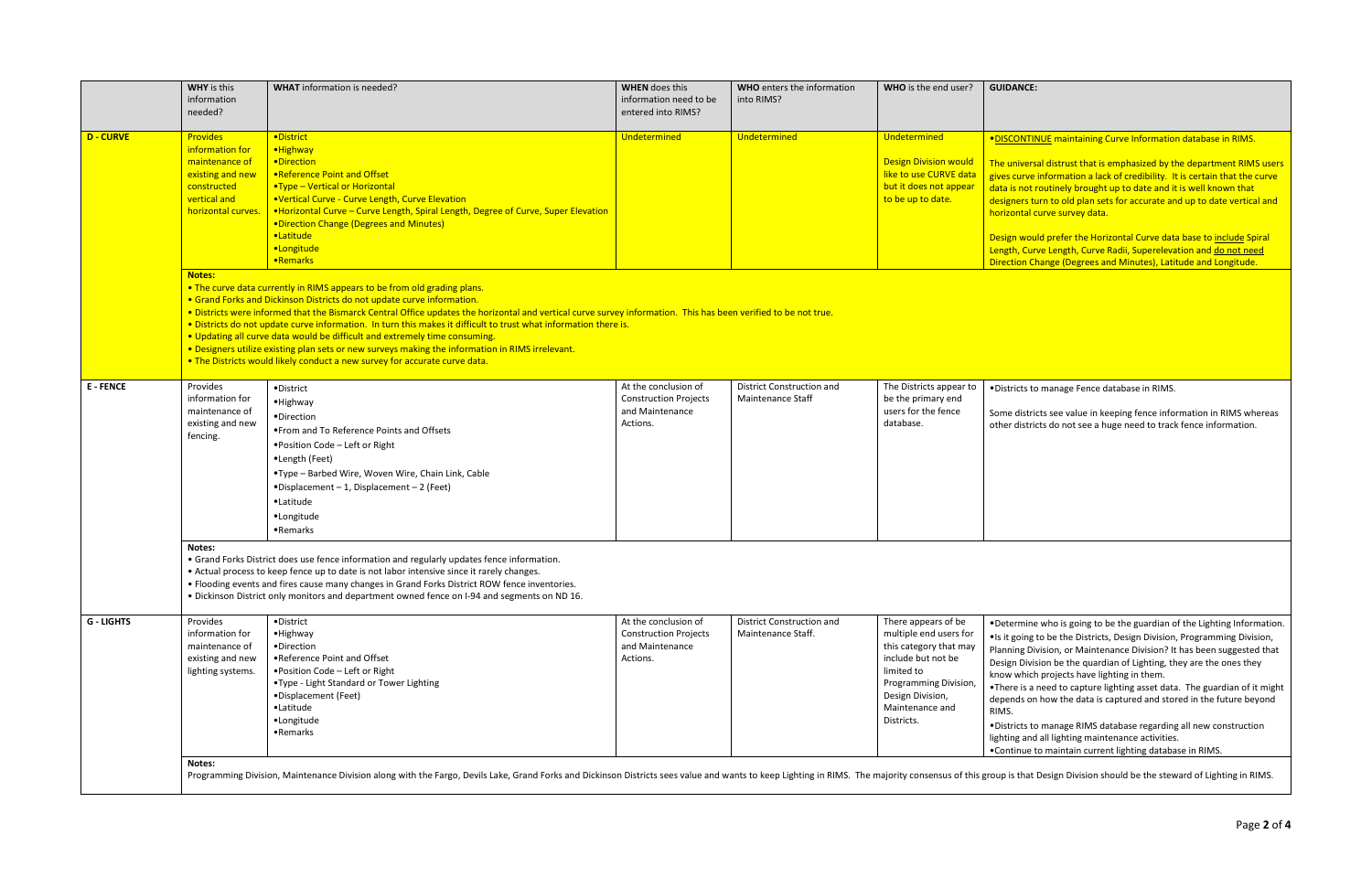|                   | <b>WHY</b> is this<br>information<br>needed?                                                                                                                                                                                                                                                                                                                                                       | <b>WHAT</b> information is needed?                                                                                                                                                                                                                                                                                                                                                                                                                                                                                                                                                                                                                                                                                  | <b>WHEN</b> does this<br>information need to be<br>entered into RIMS?               | <b>WHO</b> enters the information<br>into RIMS?              | WHO is the end user?                                                                                                                                                                      | <b>GUID</b>                                                                                                                            |  |
|-------------------|----------------------------------------------------------------------------------------------------------------------------------------------------------------------------------------------------------------------------------------------------------------------------------------------------------------------------------------------------------------------------------------------------|---------------------------------------------------------------------------------------------------------------------------------------------------------------------------------------------------------------------------------------------------------------------------------------------------------------------------------------------------------------------------------------------------------------------------------------------------------------------------------------------------------------------------------------------------------------------------------------------------------------------------------------------------------------------------------------------------------------------|-------------------------------------------------------------------------------------|--------------------------------------------------------------|-------------------------------------------------------------------------------------------------------------------------------------------------------------------------------------------|----------------------------------------------------------------------------------------------------------------------------------------|--|
| <b>D - CURVE</b>  | <b>Provides</b><br>information for<br>maintenance of<br>existing and new<br>constructed<br>vertical and<br>horizontal curves.                                                                                                                                                                                                                                                                      | ·District<br>·Highway<br>·Direction<br>.Reference Point and Offset<br>•Type - Vertical or Horizontal<br>•Vertical Curve - Curve Length, Curve Elevation<br>• Horizontal Curve - Curve Length, Spiral Length, Degree of Curve, Super Elevation<br>• Direction Change (Degrees and Minutes)<br>·Latitude<br>·Longitude<br>•Remarks                                                                                                                                                                                                                                                                                                                                                                                    | Undetermined                                                                        | Undetermined                                                 | Undetermined<br><b>Design Division would</b><br>like to use CURVE data<br>but it does not appear<br>to be up to date.                                                                     | ·DISC<br>The u<br>gives<br>data i<br>design<br>horizo<br><b>Desig</b><br>Lengt<br><b>Direct</b>                                        |  |
|                   |                                                                                                                                                                                                                                                                                                                                                                                                    | Notes:<br>. The curve data currently in RIMS appears to be from old grading plans.<br>• Grand Forks and Dickinson Districts do not update curve information.<br>. Districts were informed that the Bismarck Central Office updates the horizontal and vertical curve survey information. This has been verified to be not true.<br>. Districts do not update curve information. In turn this makes it difficult to trust what information there is.<br>. Updating all curve data would be difficult and extremely time consuming.<br>. Designers utilize existing plan sets or new surveys making the information in RIMS irrelevant.<br>. The Districts would likely conduct a new survey for accurate curve data. |                                                                                     |                                                              |                                                                                                                                                                                           |                                                                                                                                        |  |
| <b>E-FENCE</b>    | Provides<br>information for<br>maintenance of<br>existing and new<br>fencing.                                                                                                                                                                                                                                                                                                                      | • District<br>• Highway<br>•Direction<br>• From and To Reference Points and Offsets<br>• Position Code – Left or Right<br>•Length (Feet)<br>•Type - Barbed Wire, Woven Wire, Chain Link, Cable<br>$\bullet$ Displacement - 1, Displacement - 2 (Feet)<br>•Latitude<br>•Longitude<br>•Remarks                                                                                                                                                                                                                                                                                                                                                                                                                        | At the conclusion of<br><b>Construction Projects</b><br>and Maintenance<br>Actions. | <b>District Construction and</b><br><b>Maintenance Staff</b> | The Districts appear to<br>be the primary end<br>users for the fence<br>database.                                                                                                         | • Distr<br>Some<br>other                                                                                                               |  |
|                   | Notes:<br>. Grand Forks District does use fence information and regularly updates fence information.<br>• Actual process to keep fence up to date is not labor intensive since it rarely changes.<br>• Flooding events and fires cause many changes in Grand Forks District ROW fence inventories.<br>. Dickinson District only monitors and department owned fence on I-94 and segments on ND 16. |                                                                                                                                                                                                                                                                                                                                                                                                                                                                                                                                                                                                                                                                                                                     |                                                                                     |                                                              |                                                                                                                                                                                           |                                                                                                                                        |  |
| <b>G - LIGHTS</b> | Provides<br>information for<br>maintenance of<br>existing and new<br>lighting systems.                                                                                                                                                                                                                                                                                                             | • District<br>• Highway<br>•Direction<br>•Reference Point and Offset<br>. Position Code - Left or Right<br>.Type - Light Standard or Tower Lighting<br>•Displacement (Feet)<br>•Latitude<br>·Longitude<br>•Remarks                                                                                                                                                                                                                                                                                                                                                                                                                                                                                                  | At the conclusion of<br><b>Construction Projects</b><br>and Maintenance<br>Actions. | District Construction and<br>Maintenance Staff.              | There appears of be<br>multiple end users for<br>this category that may<br>include but not be<br>limited to<br>Programming Division,<br>Design Division,<br>Maintenance and<br>Districts. | $\bullet$ Dete<br>$\bullet$ Is it<br>Plann<br>Desig<br>know<br>$\bullet$ Ther<br>deper<br>RIMS.<br>·Distr<br>lightir<br>$\bullet$ Cont |  |

## $\overline{\text{MME}}$

**CONTINUE** maintaining Curve Information database in RIMS.

universal distrust that is emphasized by the department RIMS users  $s$  curve information a lack of credibility. It is certain that the curve is not routinely brought up to date and it is well known that gners turn to old plan sets for accurate and up to date vertical and zontal curve survey data.

gn would prefer the Horizontal Curve data base to **include** Spiral th, Curve Length, Curve Radii, Superelevation and do not need ction Change (Degrees and Minutes), Latitude and Longitude.

tricts to manage Fence database in RIMS.

e districts see value in keeping fence information in RIMS whereas r districts do not see a huge need to track fence information.

termine who is going to be the guardian of the Lighting Information. going to be the Districts, Design Division, Programming Division, Ining Division, or Maintenance Division? It has been suggested that ign Division be the quardian of Lighting, they are the ones they w which projects have lighting in them.

ere is a need to capture lighting asset data. The guardian of it might ends on how the data is captured and stored in the future beyond

tricts to manage RIMS database regarding all new construction ing and all lighting maintenance activities.

htinue to maintain current lighting database in RIMS.

is that Design Division should be the steward of Lighting in RIMS.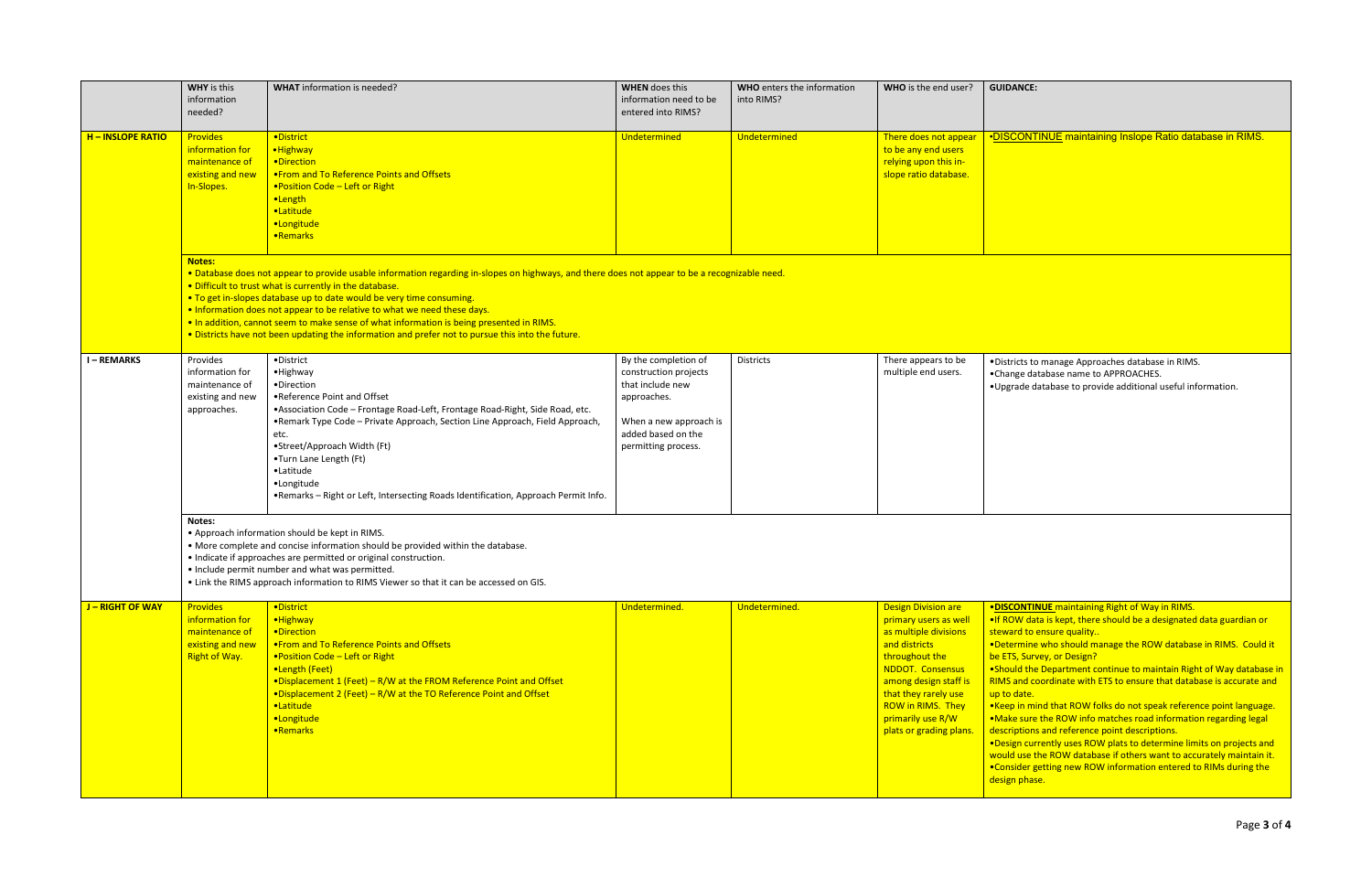|                        | <b>WHY</b> is this<br>information<br>needed?                                                                                                                                                                                                                                                                                                                                                                                                                                                                                                                                    | <b>WHAT</b> information is needed?                                                                                                                                                                                                                                                                                                                                                                                      | <b>WHEN</b> does this<br>information need to be<br>entered into RIMS?                                                                                   | WHO enters the information<br>into RIMS? | WHO is the end user?                                                                                                                                                                                                                                      | GUII                                                                                                                                                                           |  |  |
|------------------------|---------------------------------------------------------------------------------------------------------------------------------------------------------------------------------------------------------------------------------------------------------------------------------------------------------------------------------------------------------------------------------------------------------------------------------------------------------------------------------------------------------------------------------------------------------------------------------|-------------------------------------------------------------------------------------------------------------------------------------------------------------------------------------------------------------------------------------------------------------------------------------------------------------------------------------------------------------------------------------------------------------------------|---------------------------------------------------------------------------------------------------------------------------------------------------------|------------------------------------------|-----------------------------------------------------------------------------------------------------------------------------------------------------------------------------------------------------------------------------------------------------------|--------------------------------------------------------------------------------------------------------------------------------------------------------------------------------|--|--|
| <b>H-INSLOPE RATIO</b> | <b>Provides</b><br>information for<br>maintenance of<br>existing and new<br>In-Slopes.                                                                                                                                                                                                                                                                                                                                                                                                                                                                                          | ·District<br>• Highway<br>•Direction<br>. From and To Reference Points and Offsets<br>. Position Code - Left or Right<br>•Length<br>·Latitude<br>·Longitude<br>•Remarks                                                                                                                                                                                                                                                 | Undetermined                                                                                                                                            | Undetermined                             | There does not appear<br>to be any end users<br>relying upon this in-<br>slope ratio database.                                                                                                                                                            | <u>•DIS</u>                                                                                                                                                                    |  |  |
|                        | <b>Notes:</b><br>. Database does not appear to provide usable information regarding in-slopes on highways, and there does not appear to be a recognizable need.<br>. Difficult to trust what is currently in the database.<br>. To get in-slopes database up to date would be very time consuming.<br>. Information does not appear to be relative to what we need these days.<br>. In addition, cannot seem to make sense of what information is being presented in RIMS.<br>. Districts have not been updating the information and prefer not to pursue this into the future. |                                                                                                                                                                                                                                                                                                                                                                                                                         |                                                                                                                                                         |                                          |                                                                                                                                                                                                                                                           |                                                                                                                                                                                |  |  |
| <b>I-REMARKS</b>       | Provides<br>information for<br>maintenance of<br>existing and new<br>approaches.                                                                                                                                                                                                                                                                                                                                                                                                                                                                                                | • District<br>• Highway<br>•Direction<br>•Reference Point and Offset<br>• Association Code - Frontage Road-Left, Frontage Road-Right, Side Road, etc.<br>•Remark Type Code - Private Approach, Section Line Approach, Field Approach,<br>etc.<br>•Street/Approach Width (Ft)<br>•Turn Lane Length (Ft)<br>•Latitude<br>•Longitude<br>.Remarks - Right or Left, Intersecting Roads Identification, Approach Permit Info. | By the completion of<br>construction projects<br>that include new<br>approaches.<br>When a new approach is<br>added based on the<br>permitting process. | <b>Districts</b>                         | There appears to be<br>multiple end users.                                                                                                                                                                                                                | $\bullet$ Dis<br>$\bullet$ Cha<br>$\bullet$ Up                                                                                                                                 |  |  |
|                        | Notes:<br>• Approach information should be kept in RIMS.<br>• More complete and concise information should be provided within the database.<br>• Indicate if approaches are permitted or original construction.<br>• Include permit number and what was permitted.<br>. Link the RIMS approach information to RIMS Viewer so that it can be accessed on GIS.                                                                                                                                                                                                                    |                                                                                                                                                                                                                                                                                                                                                                                                                         |                                                                                                                                                         |                                          |                                                                                                                                                                                                                                                           |                                                                                                                                                                                |  |  |
| <b>J-RIGHT OF WAY</b>  | <b>Provides</b><br>information for<br>maintenance of<br>existing and new<br><b>Right of Way.</b>                                                                                                                                                                                                                                                                                                                                                                                                                                                                                | ·District<br>·Highway<br>•Direction<br>. From and To Reference Points and Offsets<br>. Position Code - Left or Right<br>•Length (Feet)<br>•Displacement 1 (Feet) - R/W at the FROM Reference Point and Offset<br>•Displacement 2 (Feet) - R/W at the TO Reference Point and Offset<br>·Latitude<br>·Longitude<br>•Remarks                                                                                               | Undetermined.                                                                                                                                           | Undetermined.                            | <b>Design Division are</b><br>primary users as well<br>as multiple divisions<br>and districts<br>throughout the<br>NDDOT. Consensus<br>among design staff is<br>that they rarely use<br>ROW in RIMS. They<br>primarily use R/W<br>plats or grading plans. | <b>•DIS</b><br>$\bullet$ If R<br>stew<br>$\bullet$ Det<br>be E<br>$•$ Sho<br>RIM:<br>up to<br>$\bullet$ Kee<br>$\bullet$ Ma<br>desc<br>$•$ Des<br>wou<br>$\bullet$ Cor<br>desi |  |  |

**SCONTINUE maintaining Inslope Ratio database in RIMS.** 

stricts to manage Approaches database in RIMS. ange database name to APPROACHES. egrade database to provide additional useful information.

**SCONTINUE** maintaining Right of Way in RIMS.

ROW data is kept, there should be a designated data guardian or ward to ensure quality..

termine who should manage the ROW database in RIMS. Could it ETS, Survey, or Design?

ould the Department continue to maintain Right of Way database in 1S and coordinate with ETS to ensure that database is accurate and to date.

ep in mind that ROW folks do not speak reference point language. ake sure the ROW info matches road information regarding legal criptions and reference point descriptions.

 $\frac{1}{2}$ sign currently uses ROW plats to determine limits on projects and uld use the ROW database if others want to accurately maintain it. nsider getting new ROW information entered to RIMs during the ign phase.